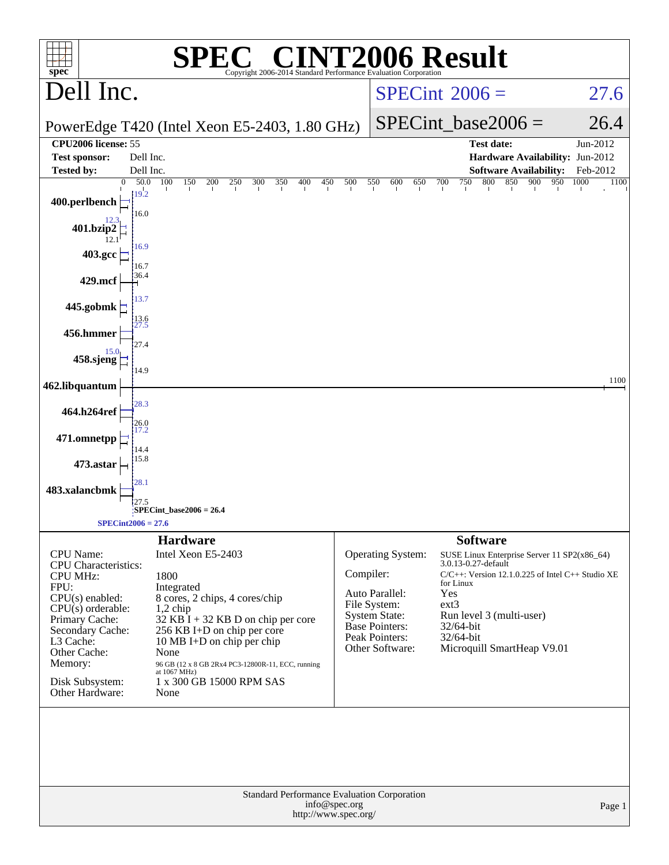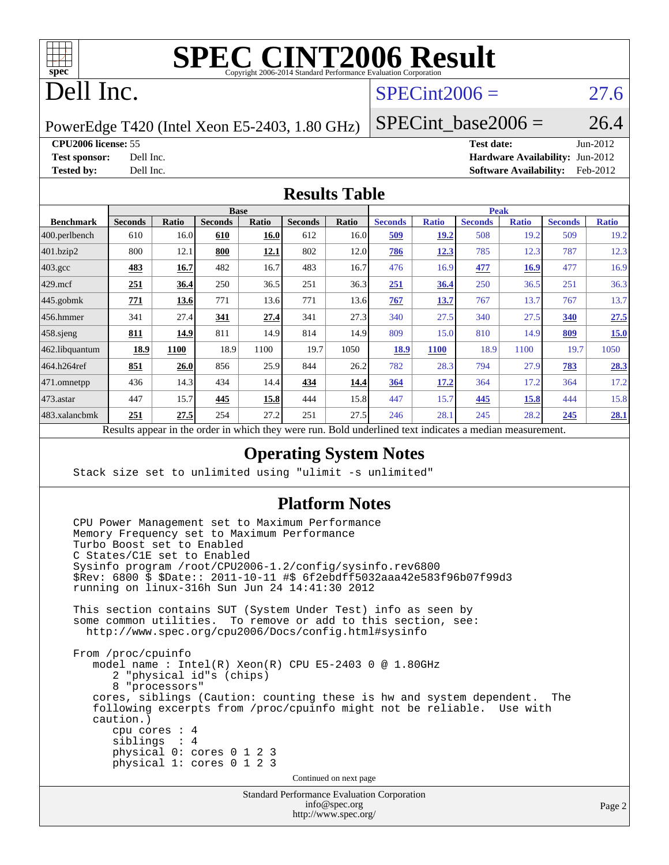

# **[SPEC CINT2006 Result](http://www.spec.org/auto/cpu2006/Docs/result-fields.html#SPECCINT2006Result)**

## Dell Inc.

## $SPECint2006 = 27.6$  $SPECint2006 = 27.6$

PowerEdge T420 (Intel Xeon E5-2403, 1.80 GHz)

SPECint base2006 =  $26.4$ 

**[CPU2006 license:](http://www.spec.org/auto/cpu2006/Docs/result-fields.html#CPU2006license)** 55 **[Test date:](http://www.spec.org/auto/cpu2006/Docs/result-fields.html#Testdate)** Jun-2012

**[Test sponsor:](http://www.spec.org/auto/cpu2006/Docs/result-fields.html#Testsponsor)** Dell Inc. **[Hardware Availability:](http://www.spec.org/auto/cpu2006/Docs/result-fields.html#HardwareAvailability)** Jun-2012 **[Tested by:](http://www.spec.org/auto/cpu2006/Docs/result-fields.html#Testedby)** Dell Inc. **[Software Availability:](http://www.spec.org/auto/cpu2006/Docs/result-fields.html#SoftwareAvailability)** Feb-2012

#### **[Results Table](http://www.spec.org/auto/cpu2006/Docs/result-fields.html#ResultsTable)**

|                    | <b>Base</b>                                       |              |                |       |                |       |                                                     | <b>Peak</b>  |                |              |                |              |  |
|--------------------|---------------------------------------------------|--------------|----------------|-------|----------------|-------|-----------------------------------------------------|--------------|----------------|--------------|----------------|--------------|--|
| <b>Benchmark</b>   | <b>Seconds</b>                                    | <b>Ratio</b> | <b>Seconds</b> | Ratio | <b>Seconds</b> | Ratio | <b>Seconds</b>                                      | <b>Ratio</b> | <b>Seconds</b> | <b>Ratio</b> | <b>Seconds</b> | <b>Ratio</b> |  |
| 400.perlbench      | 610                                               | 16.0         | 610            | 16.0  | 612            | 16.0  | 509                                                 | <b>19.2</b>  | 508            | 19.2         | 509            | 19.2         |  |
| 401.bzip2          | 800                                               | 12.1         | 800            | 12.1  | 802            | 12.0  | 786                                                 | 12.3         | 785            | 12.3         | 787            | 12.3         |  |
| $403.\mathrm{gcc}$ | 483                                               | 16.7         | 482            | 16.7  | 483            | 16.7  | 476                                                 | 16.9         | 477            | <u>16.9</u>  | 477            | 16.9         |  |
| $429$ .mcf         | 251                                               | 36.4         | 250            | 36.5  | 251            | 36.3  | 251                                                 | 36.4         | 250            | 36.5         | 251            | 36.3         |  |
| $445$ .gobmk       | 771                                               | 13.6         | 771            | 13.6  | 771            | 13.6  | 767                                                 | 13.7         | 767            | 13.7         | 767            | 13.7         |  |
| 456.hmmer          | 341                                               | 27.4         | 341            | 27.4  | 341            | 27.3  | 340                                                 | 27.5         | 340            | 27.5         | 340            | 27.5         |  |
| $458$ .sjeng       | 811                                               | 14.9         | 811            | 14.9  | 814            | 14.9  | 809                                                 | 15.0         | 810            | 14.9         | 809            | 15.0         |  |
| 462.libquantum     | 18.9                                              | 1100         | 18.9           | 1100  | 19.7           | 1050  | 18.9                                                | <b>1100</b>  | 18.9           | 1100         | 19.7           | 1050         |  |
| 464.h264ref        | 851                                               | 26.0         | 856            | 25.9  | 844            | 26.2  | 782                                                 | 28.3         | 794            | 27.9         | 783            | 28.3         |  |
| 471.omnetpp        | 436                                               | 14.3         | 434            | 14.4  | 434            | 14.4  | 364                                                 | 17.2         | 364            | 17.2         | 364            | 17.2         |  |
| 473.astar          | 447                                               | 15.7         | 445            | 15.8  | 444            | 15.8  | 447                                                 | 15.7         | 445            | 15.8         | 444            | 15.8         |  |
| 483.xalancbmk      | 251                                               | 27.5         | 254            | 27.2  | 251            | 27.5  | 246                                                 | 28.1         | 245            | 28.2         | 245            | 28.1         |  |
|                    | Decute ennoye in the order in which they were mun |              |                |       |                |       | Dold underlined text indicates a madian measurement |              |                |              |                |              |  |

Results appear in the [order in which they were run.](http://www.spec.org/auto/cpu2006/Docs/result-fields.html#RunOrder) Bold underlined text [indicates a median measurement.](http://www.spec.org/auto/cpu2006/Docs/result-fields.html#Median)

### **[Operating System Notes](http://www.spec.org/auto/cpu2006/Docs/result-fields.html#OperatingSystemNotes)**

Stack size set to unlimited using "ulimit -s unlimited"

#### **[Platform Notes](http://www.spec.org/auto/cpu2006/Docs/result-fields.html#PlatformNotes)**

Standard Performance Evaluation Corporation CPU Power Management set to Maximum Performance Memory Frequency set to Maximum Performance Turbo Boost set to Enabled C States/C1E set to Enabled Sysinfo program /root/CPU2006-1.2/config/sysinfo.rev6800 \$Rev: 6800 \$ \$Date:: 2011-10-11 #\$ 6f2ebdff5032aaa42e583f96b07f99d3 running on linux-316h Sun Jun 24 14:41:30 2012 This section contains SUT (System Under Test) info as seen by some common utilities. To remove or add to this section, see: <http://www.spec.org/cpu2006/Docs/config.html#sysinfo> From /proc/cpuinfo model name : Intel(R) Xeon(R) CPU E5-2403 0 @ 1.80GHz 2 "physical id"s (chips) 8 "processors" cores, siblings (Caution: counting these is hw and system dependent. The following excerpts from /proc/cpuinfo might not be reliable. Use with caution.) cpu cores : 4 siblings : 4 physical 0: cores 0 1 2 3 physical 1: cores 0 1 2 3 Continued on next page

> [info@spec.org](mailto:info@spec.org) <http://www.spec.org/>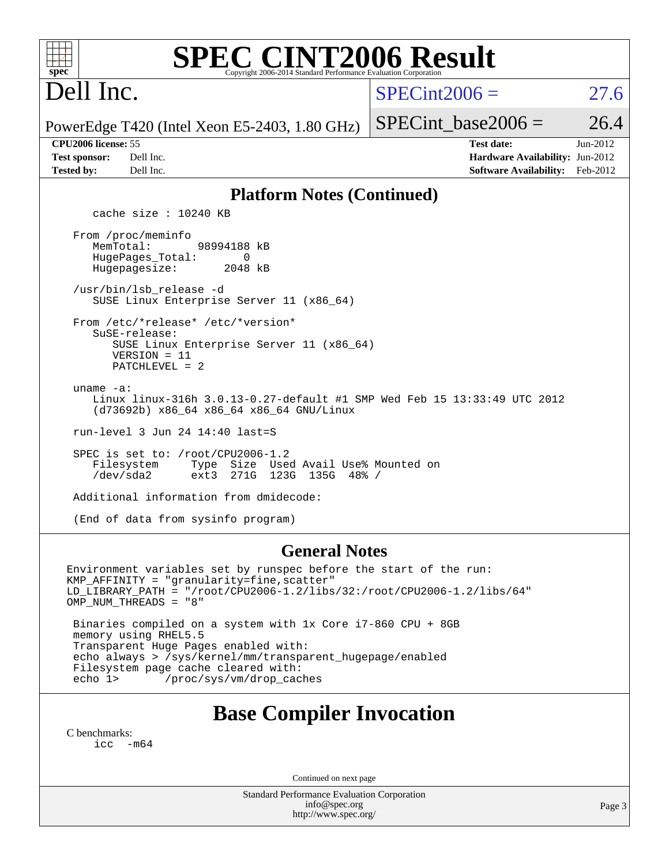| <b>SPEC CINT2006 Result</b><br>$spec^*$<br>Copyright 2006-2014 Standard Performance Evaluation Corporation                                                                                                                                  |                                                                                                                 |  |  |  |  |
|---------------------------------------------------------------------------------------------------------------------------------------------------------------------------------------------------------------------------------------------|-----------------------------------------------------------------------------------------------------------------|--|--|--|--|
| Dell Inc.                                                                                                                                                                                                                                   | $SPECint2006 =$<br>27.6                                                                                         |  |  |  |  |
| PowerEdge T420 (Intel Xeon E5-2403, 1.80 GHz)                                                                                                                                                                                               | 26.4<br>$SPECint base2006 =$                                                                                    |  |  |  |  |
| CPU <sub>2006</sub> license: 55<br><b>Test sponsor:</b><br>Dell Inc.<br><b>Tested by:</b><br>Dell Inc.                                                                                                                                      | <b>Test date:</b><br>$Jun-2012$<br>Hardware Availability: Jun-2012<br><b>Software Availability:</b><br>Feb-2012 |  |  |  |  |
| <b>Platform Notes (Continued)</b>                                                                                                                                                                                                           |                                                                                                                 |  |  |  |  |
| cache size : $10240$ KB<br>From /proc/meminfo<br>MemTotal:<br>98994188 kB<br>HugePages_Total:<br>0<br>Hugepagesize:<br>2048 kB                                                                                                              |                                                                                                                 |  |  |  |  |
| /usr/bin/lsb_release -d<br>SUSE Linux Enterprise Server 11 (x86_64)                                                                                                                                                                         |                                                                                                                 |  |  |  |  |
| From /etc/*release* /etc/*version*<br>SuSE-release:<br>SUSE Linux Enterprise Server 11 (x86_64)<br>$VERSION = 11$<br>$PATCHLEVEL = 2$                                                                                                       |                                                                                                                 |  |  |  |  |
| uname $-a$ :<br>Linux linux-316h 3.0.13-0.27-default #1 SMP Wed Feb 15 13:33:49 UTC 2012<br>(d73692b) x86_64 x86_64 x86_64 GNU/Linux                                                                                                        |                                                                                                                 |  |  |  |  |
| run-level 3 Jun 24 14:40 last=S                                                                                                                                                                                                             |                                                                                                                 |  |  |  |  |
| SPEC is set to: /root/CPU2006-1.2<br>Filesystem<br>Type<br>Size Used Avail Use% Mounted on<br>$/\text{dev/sda2}$<br>ext3<br>271G 123G 135G 48% /                                                                                            |                                                                                                                 |  |  |  |  |
| Additional information from dmidecode:                                                                                                                                                                                                      |                                                                                                                 |  |  |  |  |
| (End of data from sysinfo program)                                                                                                                                                                                                          |                                                                                                                 |  |  |  |  |
| <b>General Notes</b><br>Environment variables set by runspec before the start of the run:<br>KMP_AFFINITY = "granularity=fine, scatter"<br>LD LIBRARY PATH = "/root/CPU2006-1.2/libs/32:/root/CPU2006-1.2/libs/64"<br>OMP NUM THREADS = "8" |                                                                                                                 |  |  |  |  |

 Binaries compiled on a system with 1x Core i7-860 CPU + 8GB memory using RHEL5.5 Transparent Huge Pages enabled with: echo always > /sys/kernel/mm/transparent\_hugepage/enabled Filesystem page cache cleared with: echo 1> /proc/sys/vm/drop\_caches

## **[Base Compiler Invocation](http://www.spec.org/auto/cpu2006/Docs/result-fields.html#BaseCompilerInvocation)**

[C benchmarks](http://www.spec.org/auto/cpu2006/Docs/result-fields.html#Cbenchmarks): [icc -m64](http://www.spec.org/cpu2006/results/res2012q3/cpu2006-20120703-23492.flags.html#user_CCbase_intel_icc_64bit_f346026e86af2a669e726fe758c88044)

Continued on next page

Standard Performance Evaluation Corporation [info@spec.org](mailto:info@spec.org) <http://www.spec.org/>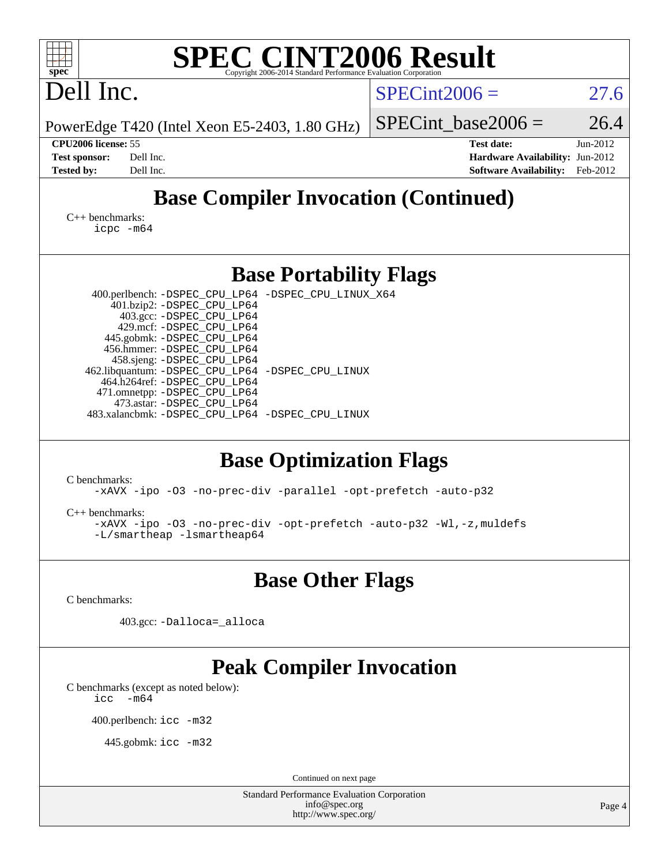| <b>SPEC CINT2006 Result</b><br>spec <sup>®</sup><br>Copyright 2006-2014 Standard Performance Evaluation Corporation                                                                                                                                                                                                                                                                                                                         |                                                                                                               |  |  |  |  |  |
|---------------------------------------------------------------------------------------------------------------------------------------------------------------------------------------------------------------------------------------------------------------------------------------------------------------------------------------------------------------------------------------------------------------------------------------------|---------------------------------------------------------------------------------------------------------------|--|--|--|--|--|
| Dell Inc.                                                                                                                                                                                                                                                                                                                                                                                                                                   | $SPECint2006 =$<br>27.6                                                                                       |  |  |  |  |  |
| PowerEdge T420 (Intel Xeon E5-2403, 1.80 GHz)                                                                                                                                                                                                                                                                                                                                                                                               | 26.4<br>$SPECint base2006 =$                                                                                  |  |  |  |  |  |
| CPU2006 license: 55<br>Dell Inc.<br><b>Test sponsor:</b><br>Dell Inc.<br><b>Tested by:</b>                                                                                                                                                                                                                                                                                                                                                  | <b>Test date:</b><br>Jun-2012<br>Hardware Availability: Jun-2012<br><b>Software Availability:</b><br>Feb-2012 |  |  |  |  |  |
| <b>Base Compiler Invocation (Continued)</b>                                                                                                                                                                                                                                                                                                                                                                                                 |                                                                                                               |  |  |  |  |  |
| $C_{++}$ benchmarks:<br>icpc -m64                                                                                                                                                                                                                                                                                                                                                                                                           |                                                                                                               |  |  |  |  |  |
| <b>Base Portability Flags</b>                                                                                                                                                                                                                                                                                                                                                                                                               |                                                                                                               |  |  |  |  |  |
| 400.perlbench: -DSPEC_CPU_LP64 -DSPEC_CPU_LINUX_X64<br>401.bzip2: -DSPEC_CPU_LP64<br>403.gcc: -DSPEC_CPU_LP64<br>429.mcf: -DSPEC_CPU_LP64<br>445.gobmk: - DSPEC CPU LP64<br>456.hmmer: - DSPEC_CPU_LP64<br>458.sjeng: - DSPEC_CPU_LP64<br>462.libquantum: -DSPEC_CPU_LP64 -DSPEC_CPU_LINUX<br>464.h264ref: -DSPEC_CPU_LP64<br>471.omnetpp: -DSPEC_CPU_LP64<br>473.astar: -DSPEC_CPU_LP64<br>483.xalancbmk: -DSPEC_CPU_LP64 -DSPEC_CPU_LINUX |                                                                                                               |  |  |  |  |  |
| <b>Base Optimization Flags</b>                                                                                                                                                                                                                                                                                                                                                                                                              |                                                                                                               |  |  |  |  |  |
| C benchmarks:<br>-xAVX -ipo -03 -no-prec-div -parallel -opt-prefetch -auto-p32                                                                                                                                                                                                                                                                                                                                                              |                                                                                                               |  |  |  |  |  |
| $C_{++}$ benchmarks:<br>-xAVX -ipo -03 -no-prec-div -opt-prefetch -auto-p32 -Wl,-z, muldefs<br>-L/smartheap -lsmartheap64                                                                                                                                                                                                                                                                                                                   |                                                                                                               |  |  |  |  |  |
| <b>Base Other Flags</b>                                                                                                                                                                                                                                                                                                                                                                                                                     |                                                                                                               |  |  |  |  |  |
| C benchmarks:                                                                                                                                                                                                                                                                                                                                                                                                                               |                                                                                                               |  |  |  |  |  |
| 403.gcc: -Dalloca=_alloca                                                                                                                                                                                                                                                                                                                                                                                                                   |                                                                                                               |  |  |  |  |  |
| <b>Peak Compiler Invocation</b><br>C benchmarks (except as noted below):<br>$-m64$<br>icc                                                                                                                                                                                                                                                                                                                                                   |                                                                                                               |  |  |  |  |  |
| 400.perlbench: icc -m32                                                                                                                                                                                                                                                                                                                                                                                                                     |                                                                                                               |  |  |  |  |  |
| 445.gobmk: icc -m32                                                                                                                                                                                                                                                                                                                                                                                                                         |                                                                                                               |  |  |  |  |  |
| Continued on next page                                                                                                                                                                                                                                                                                                                                                                                                                      |                                                                                                               |  |  |  |  |  |
| <b>Standard Performance Evaluation Corporation</b><br>info@spec.org<br>http://www.spec.org/                                                                                                                                                                                                                                                                                                                                                 | Page 4                                                                                                        |  |  |  |  |  |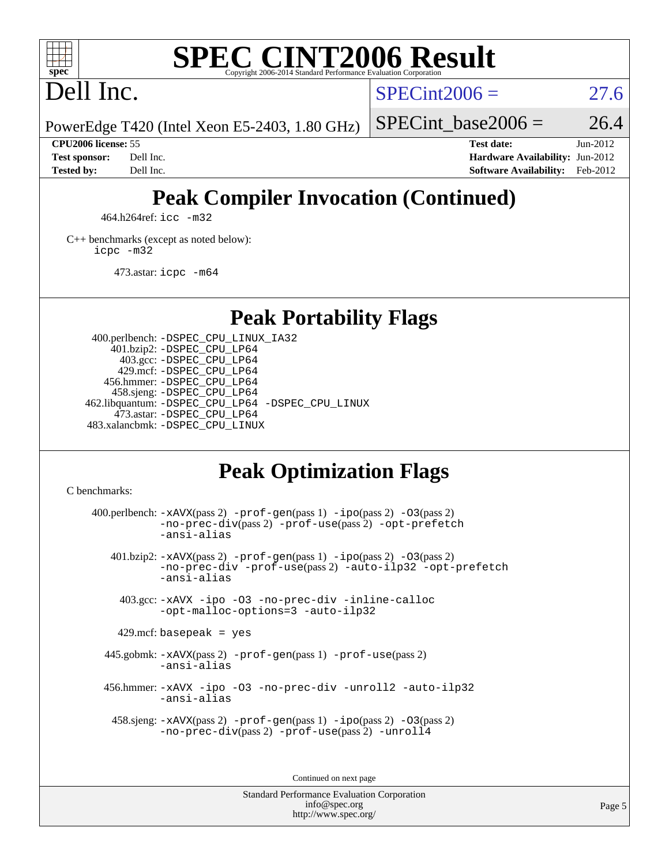

#### **[SPEC CINT2006 Result](http://www.spec.org/auto/cpu2006/Docs/result-fields.html#SPECCINT2006Result)** Copyright 2006-2014 Standard Performance Evaluation C

Dell Inc.

 $SPECint2006 = 27.6$  $SPECint2006 = 27.6$ 

PowerEdge T420 (Intel Xeon E5-2403, 1.80 GHz)

SPECint base2006 =  $26.4$ 

**[CPU2006 license:](http://www.spec.org/auto/cpu2006/Docs/result-fields.html#CPU2006license)** 55 **[Test date:](http://www.spec.org/auto/cpu2006/Docs/result-fields.html#Testdate)** Jun-2012 **[Test sponsor:](http://www.spec.org/auto/cpu2006/Docs/result-fields.html#Testsponsor)** Dell Inc. **[Hardware Availability:](http://www.spec.org/auto/cpu2006/Docs/result-fields.html#HardwareAvailability)** Jun-2012 **[Tested by:](http://www.spec.org/auto/cpu2006/Docs/result-fields.html#Testedby)** Dell Inc. **[Software Availability:](http://www.spec.org/auto/cpu2006/Docs/result-fields.html#SoftwareAvailability)** Feb-2012

## **[Peak Compiler Invocation \(Continued\)](http://www.spec.org/auto/cpu2006/Docs/result-fields.html#PeakCompilerInvocation)**

464.h264ref: [icc -m32](http://www.spec.org/cpu2006/results/res2012q3/cpu2006-20120703-23492.flags.html#user_peakCCLD464_h264ref_intel_icc_a6a621f8d50482236b970c6ac5f55f93)

[C++ benchmarks \(except as noted below\):](http://www.spec.org/auto/cpu2006/Docs/result-fields.html#CXXbenchmarksexceptasnotedbelow) [icpc -m32](http://www.spec.org/cpu2006/results/res2012q3/cpu2006-20120703-23492.flags.html#user_CXXpeak_intel_icpc_4e5a5ef1a53fd332b3c49e69c3330699)

473.astar: [icpc -m64](http://www.spec.org/cpu2006/results/res2012q3/cpu2006-20120703-23492.flags.html#user_peakCXXLD473_astar_intel_icpc_64bit_fc66a5337ce925472a5c54ad6a0de310)

**[Peak Portability Flags](http://www.spec.org/auto/cpu2006/Docs/result-fields.html#PeakPortabilityFlags)**

 400.perlbench: [-DSPEC\\_CPU\\_LINUX\\_IA32](http://www.spec.org/cpu2006/results/res2012q3/cpu2006-20120703-23492.flags.html#b400.perlbench_peakCPORTABILITY_DSPEC_CPU_LINUX_IA32) 401.bzip2: [-DSPEC\\_CPU\\_LP64](http://www.spec.org/cpu2006/results/res2012q3/cpu2006-20120703-23492.flags.html#suite_peakPORTABILITY401_bzip2_DSPEC_CPU_LP64) 403.gcc: [-DSPEC\\_CPU\\_LP64](http://www.spec.org/cpu2006/results/res2012q3/cpu2006-20120703-23492.flags.html#suite_peakPORTABILITY403_gcc_DSPEC_CPU_LP64) 429.mcf: [-DSPEC\\_CPU\\_LP64](http://www.spec.org/cpu2006/results/res2012q3/cpu2006-20120703-23492.flags.html#suite_peakPORTABILITY429_mcf_DSPEC_CPU_LP64) 456.hmmer: [-DSPEC\\_CPU\\_LP64](http://www.spec.org/cpu2006/results/res2012q3/cpu2006-20120703-23492.flags.html#suite_peakPORTABILITY456_hmmer_DSPEC_CPU_LP64) 458.sjeng: [-DSPEC\\_CPU\\_LP64](http://www.spec.org/cpu2006/results/res2012q3/cpu2006-20120703-23492.flags.html#suite_peakPORTABILITY458_sjeng_DSPEC_CPU_LP64) 462.libquantum: [-DSPEC\\_CPU\\_LP64](http://www.spec.org/cpu2006/results/res2012q3/cpu2006-20120703-23492.flags.html#suite_peakPORTABILITY462_libquantum_DSPEC_CPU_LP64) [-DSPEC\\_CPU\\_LINUX](http://www.spec.org/cpu2006/results/res2012q3/cpu2006-20120703-23492.flags.html#b462.libquantum_peakCPORTABILITY_DSPEC_CPU_LINUX) 473.astar: [-DSPEC\\_CPU\\_LP64](http://www.spec.org/cpu2006/results/res2012q3/cpu2006-20120703-23492.flags.html#suite_peakPORTABILITY473_astar_DSPEC_CPU_LP64) 483.xalancbmk: [-DSPEC\\_CPU\\_LINUX](http://www.spec.org/cpu2006/results/res2012q3/cpu2006-20120703-23492.flags.html#b483.xalancbmk_peakCXXPORTABILITY_DSPEC_CPU_LINUX)

## **[Peak Optimization Flags](http://www.spec.org/auto/cpu2006/Docs/result-fields.html#PeakOptimizationFlags)**

[C benchmarks](http://www.spec.org/auto/cpu2006/Docs/result-fields.html#Cbenchmarks):

400.perlbench:  $-xAUX(pass 2)$  -prof-qen(pass 1) [-ipo](http://www.spec.org/cpu2006/results/res2012q3/cpu2006-20120703-23492.flags.html#user_peakPASS2_CFLAGSPASS2_LDCFLAGS400_perlbench_f-ipo)(pass 2) -03(pass 2) [-no-prec-div](http://www.spec.org/cpu2006/results/res2012q3/cpu2006-20120703-23492.flags.html#user_peakPASS2_CFLAGSPASS2_LDCFLAGS400_perlbench_f-no-prec-div)(pass 2) [-prof-use](http://www.spec.org/cpu2006/results/res2012q3/cpu2006-20120703-23492.flags.html#user_peakPASS2_CFLAGSPASS2_LDCFLAGS400_perlbench_prof_use_bccf7792157ff70d64e32fe3e1250b55)(pass 2) [-opt-prefetch](http://www.spec.org/cpu2006/results/res2012q3/cpu2006-20120703-23492.flags.html#user_peakCOPTIMIZE400_perlbench_f-opt-prefetch) [-ansi-alias](http://www.spec.org/cpu2006/results/res2012q3/cpu2006-20120703-23492.flags.html#user_peakCOPTIMIZE400_perlbench_f-ansi-alias) 401.bzip2: [-xAVX](http://www.spec.org/cpu2006/results/res2012q3/cpu2006-20120703-23492.flags.html#user_peakPASS2_CFLAGSPASS2_LDCFLAGS401_bzip2_f-xAVX)(pass 2) [-prof-gen](http://www.spec.org/cpu2006/results/res2012q3/cpu2006-20120703-23492.flags.html#user_peakPASS1_CFLAGSPASS1_LDCFLAGS401_bzip2_prof_gen_e43856698f6ca7b7e442dfd80e94a8fc)(pass 1) [-ipo](http://www.spec.org/cpu2006/results/res2012q3/cpu2006-20120703-23492.flags.html#user_peakPASS2_CFLAGSPASS2_LDCFLAGS401_bzip2_f-ipo)(pass 2) [-O3](http://www.spec.org/cpu2006/results/res2012q3/cpu2006-20120703-23492.flags.html#user_peakPASS2_CFLAGSPASS2_LDCFLAGS401_bzip2_f-O3)(pass 2) [-no-prec-div](http://www.spec.org/cpu2006/results/res2012q3/cpu2006-20120703-23492.flags.html#user_peakCOPTIMIZEPASS2_CFLAGSPASS2_LDCFLAGS401_bzip2_f-no-prec-div) [-prof-use](http://www.spec.org/cpu2006/results/res2012q3/cpu2006-20120703-23492.flags.html#user_peakPASS2_CFLAGSPASS2_LDCFLAGS401_bzip2_prof_use_bccf7792157ff70d64e32fe3e1250b55)(pass 2) [-auto-ilp32](http://www.spec.org/cpu2006/results/res2012q3/cpu2006-20120703-23492.flags.html#user_peakCOPTIMIZE401_bzip2_f-auto-ilp32) [-opt-prefetch](http://www.spec.org/cpu2006/results/res2012q3/cpu2006-20120703-23492.flags.html#user_peakCOPTIMIZE401_bzip2_f-opt-prefetch) [-ansi-alias](http://www.spec.org/cpu2006/results/res2012q3/cpu2006-20120703-23492.flags.html#user_peakCOPTIMIZE401_bzip2_f-ansi-alias) 403.gcc: [-xAVX](http://www.spec.org/cpu2006/results/res2012q3/cpu2006-20120703-23492.flags.html#user_peakCOPTIMIZE403_gcc_f-xAVX) [-ipo](http://www.spec.org/cpu2006/results/res2012q3/cpu2006-20120703-23492.flags.html#user_peakCOPTIMIZE403_gcc_f-ipo) [-O3](http://www.spec.org/cpu2006/results/res2012q3/cpu2006-20120703-23492.flags.html#user_peakCOPTIMIZE403_gcc_f-O3) [-no-prec-div](http://www.spec.org/cpu2006/results/res2012q3/cpu2006-20120703-23492.flags.html#user_peakCOPTIMIZE403_gcc_f-no-prec-div) [-inline-calloc](http://www.spec.org/cpu2006/results/res2012q3/cpu2006-20120703-23492.flags.html#user_peakCOPTIMIZE403_gcc_f-inline-calloc) [-opt-malloc-options=3](http://www.spec.org/cpu2006/results/res2012q3/cpu2006-20120703-23492.flags.html#user_peakCOPTIMIZE403_gcc_f-opt-malloc-options_13ab9b803cf986b4ee62f0a5998c2238) [-auto-ilp32](http://www.spec.org/cpu2006/results/res2012q3/cpu2006-20120703-23492.flags.html#user_peakCOPTIMIZE403_gcc_f-auto-ilp32)  $429$ .mcf: basepeak = yes 445.gobmk: [-xAVX](http://www.spec.org/cpu2006/results/res2012q3/cpu2006-20120703-23492.flags.html#user_peakPASS2_CFLAGSPASS2_LDCFLAGS445_gobmk_f-xAVX)(pass 2) [-prof-gen](http://www.spec.org/cpu2006/results/res2012q3/cpu2006-20120703-23492.flags.html#user_peakPASS1_CFLAGSPASS1_LDCFLAGS445_gobmk_prof_gen_e43856698f6ca7b7e442dfd80e94a8fc)(pass 1) [-prof-use](http://www.spec.org/cpu2006/results/res2012q3/cpu2006-20120703-23492.flags.html#user_peakPASS2_CFLAGSPASS2_LDCFLAGS445_gobmk_prof_use_bccf7792157ff70d64e32fe3e1250b55)(pass 2) [-ansi-alias](http://www.spec.org/cpu2006/results/res2012q3/cpu2006-20120703-23492.flags.html#user_peakCOPTIMIZE445_gobmk_f-ansi-alias) 456.hmmer: [-xAVX](http://www.spec.org/cpu2006/results/res2012q3/cpu2006-20120703-23492.flags.html#user_peakCOPTIMIZE456_hmmer_f-xAVX) [-ipo](http://www.spec.org/cpu2006/results/res2012q3/cpu2006-20120703-23492.flags.html#user_peakCOPTIMIZE456_hmmer_f-ipo) [-O3](http://www.spec.org/cpu2006/results/res2012q3/cpu2006-20120703-23492.flags.html#user_peakCOPTIMIZE456_hmmer_f-O3) [-no-prec-div](http://www.spec.org/cpu2006/results/res2012q3/cpu2006-20120703-23492.flags.html#user_peakCOPTIMIZE456_hmmer_f-no-prec-div) [-unroll2](http://www.spec.org/cpu2006/results/res2012q3/cpu2006-20120703-23492.flags.html#user_peakCOPTIMIZE456_hmmer_f-unroll_784dae83bebfb236979b41d2422d7ec2) [-auto-ilp32](http://www.spec.org/cpu2006/results/res2012q3/cpu2006-20120703-23492.flags.html#user_peakCOPTIMIZE456_hmmer_f-auto-ilp32) [-ansi-alias](http://www.spec.org/cpu2006/results/res2012q3/cpu2006-20120703-23492.flags.html#user_peakCOPTIMIZE456_hmmer_f-ansi-alias) 458.sjeng: [-xAVX](http://www.spec.org/cpu2006/results/res2012q3/cpu2006-20120703-23492.flags.html#user_peakPASS2_CFLAGSPASS2_LDCFLAGS458_sjeng_f-xAVX)(pass 2) [-prof-gen](http://www.spec.org/cpu2006/results/res2012q3/cpu2006-20120703-23492.flags.html#user_peakPASS1_CFLAGSPASS1_LDCFLAGS458_sjeng_prof_gen_e43856698f6ca7b7e442dfd80e94a8fc)(pass 1) [-ipo](http://www.spec.org/cpu2006/results/res2012q3/cpu2006-20120703-23492.flags.html#user_peakPASS2_CFLAGSPASS2_LDCFLAGS458_sjeng_f-ipo)(pass 2) [-O3](http://www.spec.org/cpu2006/results/res2012q3/cpu2006-20120703-23492.flags.html#user_peakPASS2_CFLAGSPASS2_LDCFLAGS458_sjeng_f-O3)(pass 2) [-no-prec-div](http://www.spec.org/cpu2006/results/res2012q3/cpu2006-20120703-23492.flags.html#user_peakPASS2_CFLAGSPASS2_LDCFLAGS458_sjeng_f-no-prec-div)(pass 2) [-prof-use](http://www.spec.org/cpu2006/results/res2012q3/cpu2006-20120703-23492.flags.html#user_peakPASS2_CFLAGSPASS2_LDCFLAGS458_sjeng_prof_use_bccf7792157ff70d64e32fe3e1250b55)(pass 2) [-unroll4](http://www.spec.org/cpu2006/results/res2012q3/cpu2006-20120703-23492.flags.html#user_peakCOPTIMIZE458_sjeng_f-unroll_4e5e4ed65b7fd20bdcd365bec371b81f)

Continued on next page

Standard Performance Evaluation Corporation [info@spec.org](mailto:info@spec.org) <http://www.spec.org/>